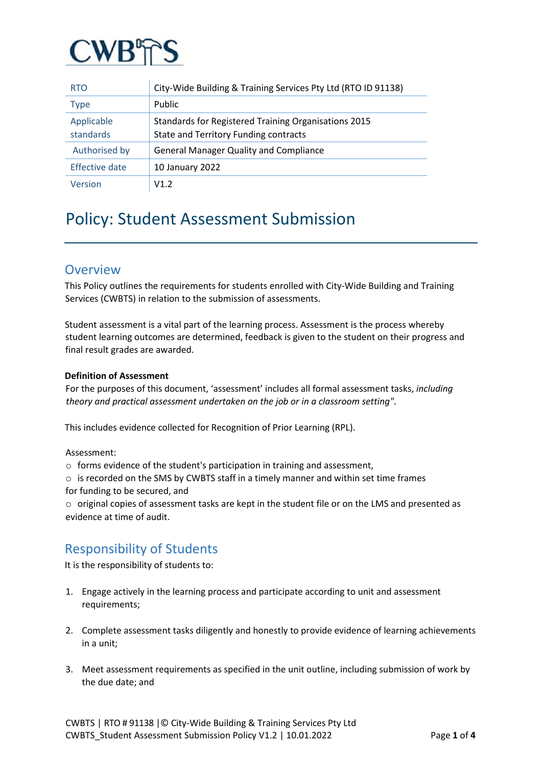

| <b>RTO</b>              | City-Wide Building & Training Services Pty Ltd (RTO ID 91138)                                 |
|-------------------------|-----------------------------------------------------------------------------------------------|
| <b>Type</b>             | Public                                                                                        |
| Applicable<br>standards | Standards for Registered Training Organisations 2015<br>State and Territory Funding contracts |
| Authorised by           | <b>General Manager Quality and Compliance</b>                                                 |
| <b>Effective date</b>   | 10 January 2022                                                                               |
| Version                 | V1.2                                                                                          |

# Policy: Student Assessment Submission

### **Overview**

This Policy outlines the requirements for students enrolled with City-Wide Building and Training Services (CWBTS) in relation to the submission of assessments.

Student assessment is a vital part of the learning process. Assessment is the process whereby student learning outcomes are determined, feedback is given to the student on their progress and final result grades are awarded.

#### **Definition of Assessment**

For the purposes of this document, 'assessment' includes all formal assessment tasks, *including theory and practical assessment undertaken on the job or in a classroom setting"*.

This includes evidence collected for Recognition of Prior Learning (RPL).

Assessment:

o forms evidence of the student's participation in training and assessment,

 $\circ$  is recorded on the SMS by CWBTS staff in a timely manner and within set time frames for funding to be secured, and

o original copies of assessment tasks are kept in the student file or on the LMS and presented as evidence at time of audit.

# Responsibility of Students

It is the responsibility of students to:

- 1. Engage actively in the learning process and participate according to unit and assessment requirements;
- 2. Complete assessment tasks diligently and honestly to provide evidence of learning achievements in a unit;
- 3. Meet assessment requirements as specified in the unit outline, including submission of work by the due date; and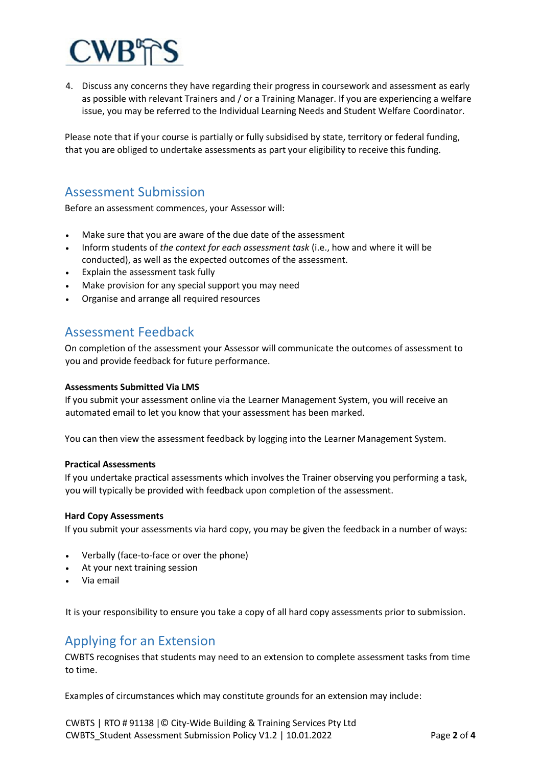

4. Discuss any concerns they have regarding their progress in coursework and assessment as early as possible with relevant Trainers and / or a Training Manager. If you are experiencing a welfare issue, you may be referred to the Individual Learning Needs and Student Welfare Coordinator.

Please note that if your course is partially or fully subsidised by state, territory or federal funding, that you are obliged to undertake assessments as part your eligibility to receive this funding.

### Assessment Submission

Before an assessment commences, your Assessor will:

- Make sure that you are aware of the due date of the assessment
- Inform students of *the context for each assessment task* (i.e., how and where it will be conducted), as well as the expected outcomes of the assessment.
- Explain the assessment task fully
- Make provision for any special support you may need
- Organise and arrange all required resources

### Assessment Feedback

On completion of the assessment your Assessor will communicate the outcomes of assessment to you and provide feedback for future performance.

#### **Assessments Submitted Via LMS**

If you submit your assessment online via the Learner Management System, you will receive an automated email to let you know that your assessment has been marked.

You can then view the assessment feedback by logging into the Learner Management System.

#### **Practical Assessments**

If you undertake practical assessments which involves the Trainer observing you performing a task, you will typically be provided with feedback upon completion of the assessment.

#### **Hard Copy Assessments**

If you submit your assessments via hard copy, you may be given the feedback in a number of ways:

- Verbally (face-to-face or over the phone)
- At your next training session
- Via email

It is your responsibility to ensure you take a copy of all hard copy assessments prior to submission.

# Applying for an Extension

CWBTS recognises that students may need to an extension to complete assessment tasks from time to time.

Examples of circumstances which may constitute grounds for an extension may include: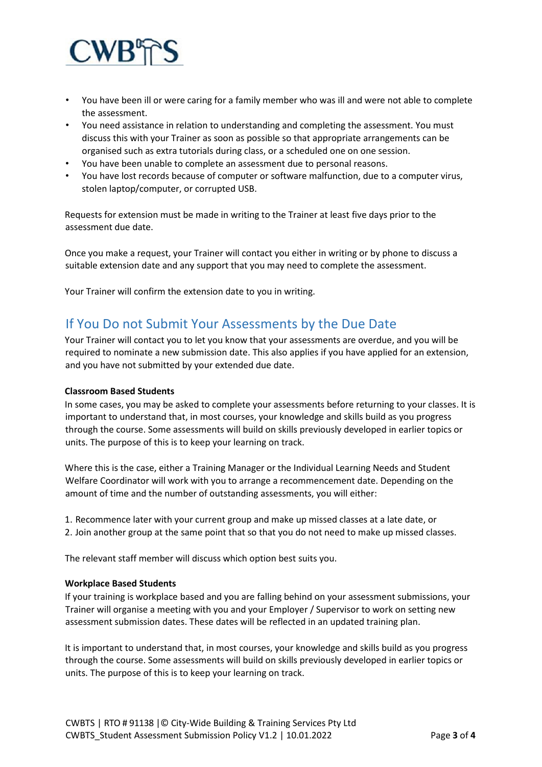

- You have been ill or were caring for a family member who was ill and were not able to complete the assessment.
- You need assistance in relation to understanding and completing the assessment. You must discuss this with your Trainer as soon as possible so that appropriate arrangements can be organised such as extra tutorials during class, or a scheduled one on one session.
- You have been unable to complete an assessment due to personal reasons.
- You have lost records because of computer or software malfunction, due to a computer virus, stolen laptop/computer, or corrupted USB.

Requests for extension must be made in writing to the Trainer at least five days prior to the assessment due date.

Once you make a request, your Trainer will contact you either in writing or by phone to discuss a suitable extension date and any support that you may need to complete the assessment.

Your Trainer will confirm the extension date to you in writing.

# If You Do not Submit Your Assessments by the Due Date

Your Trainer will contact you to let you know that your assessments are overdue, and you will be required to nominate a new submission date. This also applies if you have applied for an extension, and you have not submitted by your extended due date.

#### **Classroom Based Students**

In some cases, you may be asked to complete your assessments before returning to your classes. It is important to understand that, in most courses, your knowledge and skills build as you progress through the course. Some assessments will build on skills previously developed in earlier topics or units. The purpose of this is to keep your learning on track.

Where this is the case, either a Training Manager or the Individual Learning Needs and Student Welfare Coordinator will work with you to arrange a recommencement date. Depending on the amount of time and the number of outstanding assessments, you will either:

1. Recommence later with your current group and make up missed classes at a late date, or 2. Join another group at the same point that so that you do not need to make up missed classes.

The relevant staff member will discuss which option best suits you.

#### **Workplace Based Students**

If your training is workplace based and you are falling behind on your assessment submissions, your Trainer will organise a meeting with you and your Employer / Supervisor to work on setting new assessment submission dates. These dates will be reflected in an updated training plan.

It is important to understand that, in most courses, your knowledge and skills build as you progress through the course. Some assessments will build on skills previously developed in earlier topics or units. The purpose of this is to keep your learning on track.